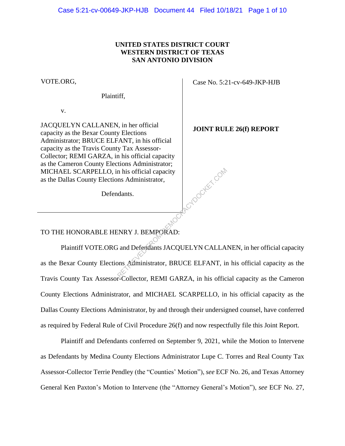### **UNITED STATES DISTRICT COURT WESTERN DISTRICT OF TEXAS SAN ANTONIO DIVISION**

VOTE.ORG,

Plaintiff,

v.

JACQUELYN CALLANEN, in her official capacity as the Bexar County Elections Administrator; BRUCE ELFANT, in his official capacity as the Travis County Tax Assessor-Collector; REMI GARZA, in his official capacity as the Cameron County Elections Administrator; MICHAEL SCARPELLO, in his official capacity as the Dallas County Elections Administrator,

Defendants.

Case No. 5:21-cv-649-JKP-HJB

**JOINT RULE 26(f) REPORT**

RCYDOCKET.COM

TO THE HONORABLE HENRY J. BEMPORAD:

Plaintiff VOTE.ORG and Defendants JACQUELYN CALLANEN, in her official capacity as the Bexar County Elections Administrator, BRUCE ELFANT, in his official capacity as the Travis County Tax Assessor-Collector, REMI GARZA, in his official capacity as the Cameron County Elections Administrator, and MICHAEL SCARPELLO, in his official capacity as the Dallas County Elections Administrator, by and through their undersigned counsel, have conferred as required by Federal Rule of Civil Procedure 26(f) and now respectfully file this Joint Report.

Plaintiff and Defendants conferred on September 9, 2021, while the Motion to Intervene as Defendants by Medina County Elections Administrator Lupe C. Torres and Real County Tax Assessor-Collector Terrie Pendley (the "Counties' Motion"), *see* ECF No. 26, and Texas Attorney General Ken Paxton's Motion to Intervene (the "Attorney General's Motion"), *see* ECF No. 27,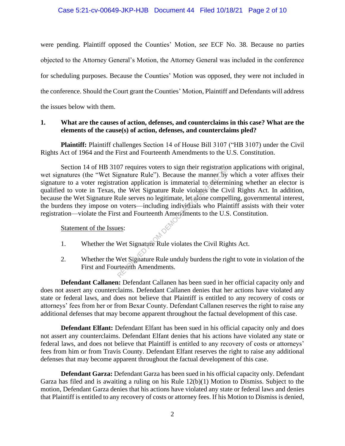#### Case 5:21-cv-00649-JKP-HJB Document 44 Filed 10/18/21 Page 2 of 10

were pending. Plaintiff opposed the Counties' Motion, *see* ECF No. 38. Because no parties objected to the Attorney General's Motion, the Attorney General was included in the conference for scheduling purposes. Because the Counties' Motion was opposed, they were not included in the conference. Should the Court grant the Counties' Motion, Plaintiff and Defendants will address the issues below with them.

### **1. What are the causes of action, defenses, and counterclaims in this case? What are the elements of the cause(s) of action, defenses, and counterclaims pled?**

**Plaintiff:** Plaintiff challenges Section 14 of House Bill 3107 ("HB 3107) under the Civil Rights Act of 1964 and the First and Fourteenth Amendments to the U.S. Constitution.

Section 14 of HB 3107 requires voters to sign their registration applications with original, wet signatures (the "Wet Signature Rule"). Because the manner by which a voter affixes their signature to a voter registration application is immaterial to determining whether an elector is qualified to vote in Texas, the Wet Signature Rule violates the Civil Rights Act. In addition, because the Wet Signature Rule serves no legitimate, let alone compelling, governmental interest, the burdens they impose on voters—including individuals who Plaintiff assists with their voter registration—violate the First and Fourteenth Amendments to the U.S. Constitution. Frequires votels to sign then registrate<br>
ignature Rule"). Because the manner by<br>
this application is immaterial to determ<br>
the Wet Signature Rule violates the Ci<br>
cule serves no legitimate, let alone compe<br>
voters—includi

#### Statement of the Issues:

- 1. Whether the Wet Signature Rule violates the Civil Rights Act.
- 2. Whether the Wet Signature Rule unduly burdens the right to vote in violation of the First and Fourteenth Amendments.

**Defendant Callanen:** Defendant Callanen has been sued in her official capacity only and does not assert any counterclaims. Defendant Callanen denies that her actions have violated any state or federal laws, and does not believe that Plaintiff is entitled to any recovery of costs or attorneys' fees from her or from Bexar County. Defendant Callanen reserves the right to raise any additional defenses that may become apparent throughout the factual development of this case.

**Defendant Elfant:** Defendant Elfant has been sued in his official capacity only and does not assert any counterclaims. Defendant Elfant denies that his actions have violated any state or federal laws, and does not believe that Plaintiff is entitled to any recovery of costs or attorneys' fees from him or from Travis County. Defendant Elfant reserves the right to raise any additional defenses that may become apparent throughout the factual development of this case.

**Defendant Garza:** Defendant Garza has been sued in his official capacity only. Defendant Garza has filed and is awaiting a ruling on his Rule 12(b)(1) Motion to Dismiss. Subject to the motion, Defendant Garza denies that his actions have violated any state or federal laws and denies that Plaintiff is entitled to any recovery of costs or attorney fees. If his Motion to Dismiss is denied,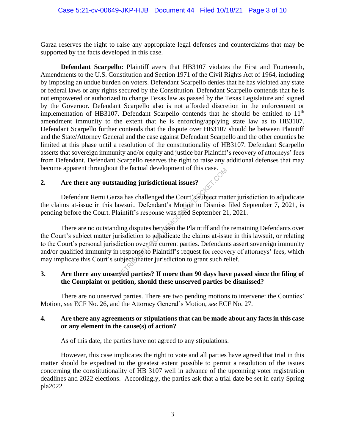Garza reserves the right to raise any appropriate legal defenses and counterclaims that may be supported by the facts developed in this case.

**Defendant Scarpello:** Plaintiff avers that HB3107 violates the First and Fourteenth, Amendments to the U.S. Constitution and Section 1971 of the Civil Rights Act of 1964, including by imposing an undue burden on voters. Defendant Scarpello denies that he has violated any state or federal laws or any rights secured by the Constitution. Defendant Scarpello contends that he is not empowered or authorized to change Texas law as passed by the Texas Legislature and signed by the Governor. Defendant Scarpello also is not afforded discretion in the enforcement or implementation of HB3107. Defendant Scarpello contends that he should be entitled to  $11<sup>th</sup>$ amendment immunity to the extent that he is enforcing/applying state law as to HB3107. Defendant Scarpello further contends that the dispute over HB3107 should be between Plaintiff and the State/Attorney General and the case against Defendant Scarpello and the other counties be limited at this phase until a resolution of the constitutionality of HB3107. Defendant Scarpello asserts that sovereign immunity and/or equity and justice bar Plaintiff's recovery of attorneys' fees from Defendant. Defendant Scarpello reserves the right to raise any additional defenses that may become apparent throughout the factual development of this case.

### **2. Are there any outstanding jurisdictional issues?**

Defendant Remi Garza has challenged the Court's subject matter jurisdiction to adjudicate the claims at-issue in this lawsuit. Defendant's Motion to Dismiss filed September 7, 2021, is pending before the Court. Plaintiff's response was filed September 21, 2021.

There are no outstanding disputes between the Plaintiff and the remaining Defendants over the Court's subject matter jurisdiction to adjudicate the claims at-issue in this lawsuit, or relating to the Court's personal jurisdiction over the current parties. Defendants assert sovereign immunity and/or qualified immunity in response to Plaintiff's request for recovery of attorneys' fees, which may implicate this Court's subject-matter jurisdiction to grant such relief. anding jurisdictional issues?<br>
za has challenged the Court's subject mat<br>
awsuit. Defendant's Motion to Dismiss<br>
aintiff's response was filed September 2.<br>
ling disputes between the Plaintiff and the<br>
urisdiction to adjudi

# **3. Are there any unserved parties? If more than 90 days have passed since the filing of the Complaint or petition, should these unserved parties be dismissed?**

There are no unserved parties. There are two pending motions to intervene: the Counties' Motion, *see* ECF No. 26, and the Attorney General's Motion, *see* ECF No. 27.

### **4. Are there any agreements or stipulations that can be made about any facts in this case or any element in the cause(s) of action?**

As of this date, the parties have not agreed to any stipulations.

However, this case implicates the right to vote and all parties have agreed that trial in this matter should be expedited to the greatest extent possible to permit a resolution of the issues concerning the constitutionality of HB 3107 well in advance of the upcoming voter registration deadlines and 2022 elections. Accordingly, the parties ask that a trial date be set in early Spring pla2022.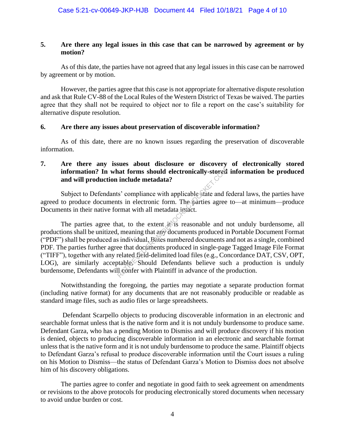### **5. Are there any legal issues in this case that can be narrowed by agreement or by motion?**

As of this date, the parties have not agreed that any legal issues in this case can be narrowed by agreement or by motion.

However, the parties agree that this case is not appropriate for alternative dispute resolution and ask that Rule CV-88 of the Local Rules of the Western District of Texas be waived. The parties agree that they shall not be required to object nor to file a report on the case's suitability for alternative dispute resolution.

### **6. Are there any issues about preservation of discoverable information?**

As of this date, there are no known issues regarding the preservation of discoverable information.

# **7. Are there any issues about disclosure or discovery of electronically stored information? In what forms should electronically-stored information be produced and will production include metadata?**

Subject to Defendants' compliance with applicable state and federal laws, the parties have agreed to produce documents in electronic form. The parties agree to—at minimum—produce Documents in their native format with all metadata intact.

The parties agree that, to the extent it is reasonable and not unduly burdensome, all productions shall be unitized, meaning that any documents produced in Portable Document Format ("PDF") shall be produced as individual, Bates numbered documents and not as a single, combined PDF. The parties further agree that documents produced in single-page Tagged Image File Format ("TIFF"), together with any related field-delimited load files (e.g., Concordance DAT, CSV, OPT, LOG), are similarly acceptable. Should Defendants believe such a production is unduly burdensome, Defendants will confer with Plaintiff in advance of the production. nat forms should electronically-stored<br>include metadata?<br>Solution in the particular state and the signal state and the signal state and the extent is in electronic form. The parties agree<br>armat with all metadata in tacket.

Notwithstanding the foregoing, the parties may negotiate a separate production format (including native format) for any documents that are not reasonably producible or readable as standard image files, such as audio files or large spreadsheets.

Defendant Scarpello objects to producing discoverable information in an electronic and searchable format unless that is the native form and it is not unduly burdensome to produce same. Defendant Garza, who has a pending Motion to Dismiss and will produce discovery if his motion is denied, objects to producing discoverable information in an electronic and searchable format unless that is the native form and it is not unduly burdensome to produce the same. Plaintiff objects to Defendant Garza's refusal to produce discoverable information until the Court issues a ruling on his Motion to Dismiss—the status of Defendant Garza's Motion to Dismiss does not absolve him of his discovery obligations.

The parties agree to confer and negotiate in good faith to seek agreement on amendments or revisions to the above protocols for producing electronically stored documents when necessary to avoid undue burden or cost.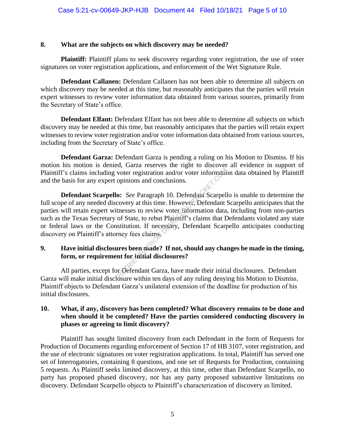### **8. What are the subjects on which discovery may be needed?**

**Plaintiff:** Plaintiff plans to seek discovery regarding voter registration, the use of voter signatures on voter registration applications, and enforcement of the Wet Signature Rule.

**Defendant Callanen:** Defendant Callanen has not been able to determine all subjects on which discovery may be needed at this time, but reasonably anticipates that the parties will retain expert witnesses to review voter information data obtained from various sources, primarily from the Secretary of State's office.

**Defendant Elfant:** Defendant Elfant has not been able to determine all subjects on which discovery may be needed at this time, but reasonably anticipates that the parties will retain expert witnesses to review voter registration and/or voter information data obtained from various sources, including from the Secretary of State's office.

**Defendant Garza:** Defendant Garza is pending a ruling on his Motion to Dismiss. If his motion his motion is denied, Garza reserves the right to discover all evidence in support of Plaintiff's claims including voter registration and/or voter information data obtained by Plaintiff and the basis for any expert opinions and conclusions.

**Defendant Scarpello:** *See* Paragraph 10. Defendant Scarpello is unable to determine the full scope of any needed discovery at this time. However, Defendant Scarpello anticipates that the parties will retain expert witnesses to review voter information data, including from non-parties such as the Texas Secretary of State, to rebut Plaintiff's claims that Defendants violated any state or federal laws or the Constitution. If necessary, Defendant Scarpello anticipates conducting discovery on Plaintiff's attorney fees claims. voter registration and/or voter information<br>opinions and conclusions.<br>
So: *See* Paragraph 10. Defendant Scarpell<br>
covery at this time. However, Defendant it<br>
thesses to review voter information data<br>
of State, to rebut Pl

# **9. Have initial disclosures been made? If not, should any changes be made in the timing, form, or requirement for initial disclosures?**

All parties, except for Defendant Garza, have made their initial disclosures. Defendant Garza will make initial disclosure within ten days of any ruling denying his Motion to Dismiss. Plaintiff objects to Defendant Garza's unilateral extension of the deadline for production of his initial disclosures.

# **10. What, if any, discovery has been completed? What discovery remains to be done and when should it be completed? Have the parties considered conducting discovery in phases or agreeing to limit discovery?**

Plaintiff has sought limited discovery from each Defendant in the form of Requests for Production of Documents regarding enforcement of Section 17 of HB 3107, voter registration, and the use of electronic signatures on voter registration applications. In total, Plaintiff has served one set of Interrogatories, containing 8 questions, and one set of Requests for Production, containing 5 requests. As Plaintiff seeks limited discovery, at this time, other than Defendant Scarpello, no party has proposed phased discovery, nor has any party proposed substantive limitations on discovery. Defendant Scarpello objects to Plaintiff's characterization of discovery as limited.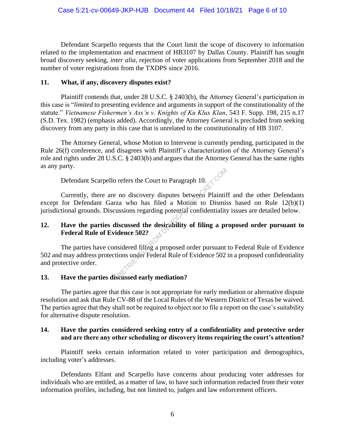Defendant Scarpello requests that the Court limit the scope of discovery to information related to the implementation and enactment of HB3107 by Dallas County. Plaintiff has sought broad discovery seeking, *inter alia*, rejection of voter applications from September 2018 and the number of voter registrations from the TXDPS since 2016.

### **11. What, if any, discovery disputes exist?**

Plaintiff contends that, under 28 U.S.C. § 2403(b), the Attorney General's participation in this case is "*limited* to presenting evidence and arguments in support of the constitutionality of the statute." *Vietnamese Fishermen's Ass'n v. Knights of Ku Klux Klan*, 543 F. Supp. 198, 215 n.17 (S.D. Tex. 1982) (emphasis added). Accordingly, the Attorney General is precluded from seeking discovery from any party in this case that is unrelated to the constitutionality of HB 3107.

The Attorney General, whose Motion to Intervene is currently pending, participated in the Rule 26(f) conference, and disagrees with Plaintiff's characterization of the Attorney General's role and rights under 28 U.S.C. § 2403(b) and argues that the Attorney General has the same rights as any party.

Defendant Scarpello refers the Court to Paragraph 10.

Currently, there are no discovery disputes between Plaintiff and the other Defendants except for Defendant Garza who has filed a Motion to Dismiss based on Rule  $12(b)(1)$ jurisdictional grounds. Discussions regarding potential confidentiality issues are detailed below. refers the Court to Paragraph 10.<br>
no discovery disputes between Plaintif<br>
za who has filed a Motion to Dismis<br>
uscissions regarding potential confidentiality<br>
iscussed the desirability of filing a processed filing a propo

# **12. Have the parties discussed the desirability of filing a proposed order pursuant to Federal Rule of Evidence 502?**

The parties have considered filing a proposed order pursuant to Federal Rule of Evidence 502 and may address protections under Federal Rule of Evidence 502 in a proposed confidentiality and protective order.

# **13. Have the parties discussed early mediation?**

The parties agree that this case is not appropriate for early mediation or alternative dispute resolution and ask that Rule CV-88 of the Local Rules of the Western District of Texas be waived. The parties agree that they shall not be required to object nor to file a report on the case's suitability for alternative dispute resolution.

# **14. Have the parties considered seeking entry of a confidentiality and protective order and are there any other scheduling or discovery items requiring the court's attention?**

Plaintiff seeks certain information related to voter participation and demographics, including voter's addresses.

Defendants Elfant and Scarpello have concerns about producing voter addresses for individuals who are entitled, as a matter of law, to have such information redacted from their voter information profiles, including, but not limited to, judges and law enforcement officers.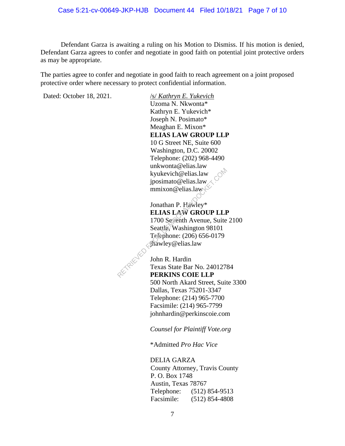Defendant Garza is awaiting a ruling on his Motion to Dismiss. If his motion is denied, Defendant Garza agrees to confer and negotiate in good faith on potential joint protective orders as may be appropriate.

The parties agree to confer and negotiate in good faith to reach agreement on a joint proposed protective order where necessary to protect confidential information.

Dated: October 18, 2021. /s/ *Kathryn E. Yukevich* 

Uzoma N. Nkwonta\* Kathryn E. Yukevich\* Joseph N. Posimato\* Meaghan E. Mixon\* **ELIAS LAW GROUP LLP** 10 G Street NE, Suite 600 Washington, D.C. 20002 Telephone: (202) 968-4490 unkwonta@elias.law kyukevich@elias.law jposimato@elias.law  $mmixon@elias.law$ 

Jonathan P. Hawley\* **ELIAS LAW GROUP LLP** 1700 Seventh Avenue, Suite 2100 Seattle, Washington 98101 Telephone: (206) 656-0179 jhawley@elias.law Examples and the United States and the United States of States and Topology<br>
Sonathan P. Hawley\*<br>
ELIAS LAW GROUP LLE<br>
1700 Seventh Avenue, Suite<br>
Seattle, Washington 98101<br>
Telephone: (206) 656-0179<br>
The United States Bar

John R. Hardin Texas State Bar No. 24012784 **PERKINS COIE LLP** 500 North Akard Street, Suite 3300 Dallas, Texas 75201-3347 Telephone: (214) 965-7700 Facsimile: (214) 965-7799 johnhardin@perkinscoie.com

*Counsel for Plaintiff Vote.org*

\*Admitted *Pro Hac Vice*

DELIA GARZA County Attorney, Travis County P. O. Box 1748 Austin, Texas 78767 Telephone: (512) 854-9513 Facsimile: (512) 854-4808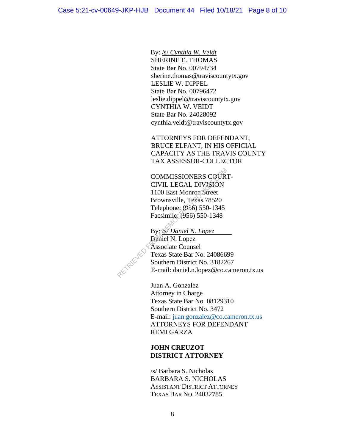By: /s/ *Cynthia W. Veidt* SHERINE E. THOMAS State Bar No. 00794734 sherine.thomas@traviscountytx.gov LESLIE W. DIPPEL State Bar No. 00796472 leslie.dippel@traviscountytx.gov CYNTHIA W. VEIDT State Bar No. 24028092 cynthia.veidt@traviscountytx.gov

ATTORNEYS FOR DEFENDANT, BRUCE ELFANT, IN HIS OFFICIAL CAPACITY AS THE TRAVIS COUNTY TAX ASSESSOR-COLLECTOR

COMMISSIONERS COURT-CIVIL LEGAL DIVISION 1100 East Monroe Street Brownsville, Texas 78520 Telephone: (956) 550-1345 Facsimile: (956) 550-1348 COMMISSIONERS COOR<br>
CIVIL LEGAL DIVISION<br>
1100 East Monroe Street<br>
Brownsville, Texas 78520<br>
Telephone: (956) 550-1345<br>
Facsimile: (956) 550-1348<br>
By: 8 Daniel N. Lopez<br>
Daniel N. Lopez<br>
Associate Counsel<br>
Texas State Bar

By: */s/ Daniel N. Lopez* Daniel N. Lopez Associate Counsel Texas State Bar No. 24086699 Southern District No. 3182267 E-mail: daniel.n.lopez@co.cameron.tx.us

Juan A. Gonzalez Attorney in Charge Texas State Bar No. 08129310 Southern District No. 3472 E-mail: juan.gonzalez@co.cameron.tx.us ATTORNEYS FOR DEFENDANT REMI GARZA

### **JOHN CREUZOT DISTRICT ATTORNEY**

/s/ Barbara S. Nicholas BARBARA S. NICHOLAS ASSISTANT DISTRICT ATTORNEY TEXAS BAR NO. 24032785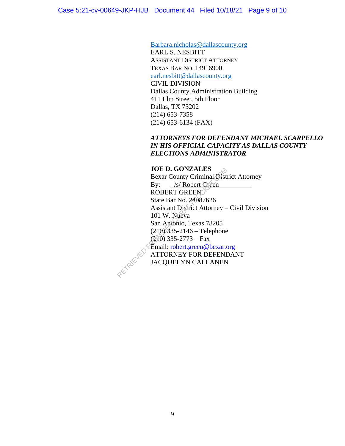Barbara.nicholas@dallascounty.org EARL S. NESBITT ASSISTANT DISTRICT ATTORNEY TEXAS BAR NO. 14916900 earl.nesbitt@dallascounty.org CIVIL DIVISION Dallas County Administration Building 411 Elm Street, 5th Floor

Dallas, TX 75202 (214) 653-7358 (214) 653-6134 (FAX)

# *ATTORNEYS FOR DEFENDANT MICHAEL SCARPELLO IN HIS OFFICIAL CAPACITY AS DALLAS COUNTY ELECTIONS ADMINISTRATOR*

### **JOE D. GONZALES**

Bexar County Criminal District Attorney By: /s/ Robert Green ROBERT GREEN State Bar No. 24087626 Assistant District Attorney – Civil Division 101 W. Nueva San Antonio, Texas 78205 (210) 335-2146 – Telephone  $(210)$  335-2773 – Fax Email: robert.green@bexar.org ATTORNEY FOR DEFENDANT JACQUELYN CALLANEN JOE D. GONZALES<br>
Bexar County Criminal Dist<br>
By: /s/ Robert Green<br>
ROBERT GREEN<br>
State Bar No. 24087626<br>
Assistant District Attorney –<br>
101 W. Nueva<br>
San Antonio, Texas 78205<br>
(210) 335-2146 – Telephone<br>
(210) 335-2773 – F